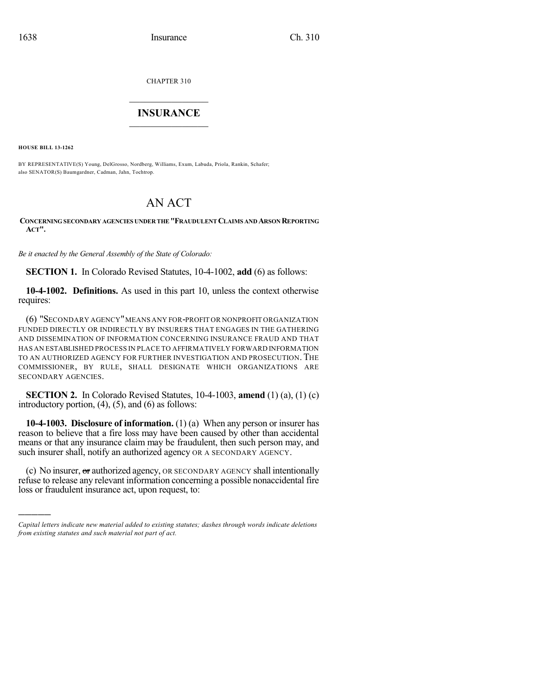CHAPTER 310

## $\overline{\phantom{a}}$  . The set of the set of the set of the set of the set of the set of the set of the set of the set of the set of the set of the set of the set of the set of the set of the set of the set of the set of the set o **INSURANCE**  $\frac{1}{2}$  ,  $\frac{1}{2}$  ,  $\frac{1}{2}$  ,  $\frac{1}{2}$  ,  $\frac{1}{2}$  ,  $\frac{1}{2}$  ,  $\frac{1}{2}$

**HOUSE BILL 13-1262**

)))))

BY REPRESENTATIVE(S) Young, DelGrosso, Nordberg, Williams, Exum, Labuda, Priola, Rankin, Schafer; also SENATOR(S) Baumgardner, Cadman, Jahn, Tochtrop.

## AN ACT

## **CONCERNING SECONDARY AGENCIES UNDERTHE "FRAUDULENT CLAIMS AND ARSON REPORTING ACT".**

*Be it enacted by the General Assembly of the State of Colorado:*

**SECTION 1.** In Colorado Revised Statutes, 10-4-1002, **add** (6) as follows:

**10-4-1002. Definitions.** As used in this part 10, unless the context otherwise requires:

(6) "SECONDARY AGENCY"MEANS ANY FOR-PROFIT OR NONPROFIT ORGANIZATION FUNDED DIRECTLY OR INDIRECTLY BY INSURERS THAT ENGAGES IN THE GATHERING AND DISSEMINATION OF INFORMATION CONCERNING INSURANCE FRAUD AND THAT HAS AN ESTABLISHED PROCESS IN PLACE TO AFFIRMATIVELY FORWARD INFORMATION TO AN AUTHORIZED AGENCY FOR FURTHER INVESTIGATION AND PROSECUTION.THE COMMISSIONER, BY RULE, SHALL DESIGNATE WHICH ORGANIZATIONS ARE SECONDARY AGENCIES.

**SECTION 2.** In Colorado Revised Statutes, 10-4-1003, **amend** (1) (a), (1) (c) introductory portion,  $(4)$ ,  $(5)$ , and  $(6)$  as follows:

**10-4-1003. Disclosure of information.** (1) (a) When any person or insurer has reason to believe that a fire loss may have been caused by other than accidental means or that any insurance claim may be fraudulent, then such person may, and such insurer shall, notify an authorized agency OR A SECONDARY AGENCY.

(c) No insurer,  $\sigma$  authorized agency, OR SECONDARY AGENCY shall intentionally refuse to release any relevant information concerning a possible nonaccidental fire loss or fraudulent insurance act, upon request, to:

*Capital letters indicate new material added to existing statutes; dashes through words indicate deletions from existing statutes and such material not part of act.*